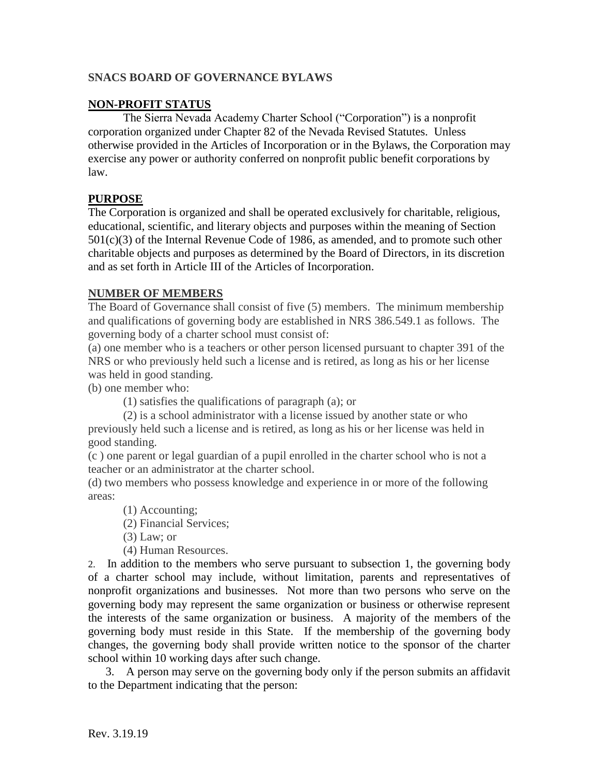### **SNACS BOARD OF GOVERNANCE BYLAWS**

#### **NON-PROFIT STATUS**

The Sierra Nevada Academy Charter School ("Corporation") is a nonprofit corporation organized under Chapter 82 of the Nevada Revised Statutes. Unless otherwise provided in the Articles of Incorporation or in the Bylaws, the Corporation may exercise any power or authority conferred on nonprofit public benefit corporations by law.

#### **PURPOSE**

The Corporation is organized and shall be operated exclusively for charitable, religious, educational, scientific, and literary objects and purposes within the meaning of Section  $501(c)(3)$  of the Internal Revenue Code of 1986, as amended, and to promote such other charitable objects and purposes as determined by the Board of Directors, in its discretion and as set forth in Article III of the Articles of Incorporation.

#### **NUMBER OF MEMBERS**

The Board of Governance shall consist of five (5) members. The minimum membership and qualifications of governing body are established in NRS 386.549.1 as follows. The governing body of a charter school must consist of:

(a) one member who is a teachers or other person licensed pursuant to chapter 391 of the NRS or who previously held such a license and is retired, as long as his or her license was held in good standing.

(b) one member who:

(1) satisfies the qualifications of paragraph (a); or

(2) is a school administrator with a license issued by another state or who previously held such a license and is retired, as long as his or her license was held in good standing.

(c ) one parent or legal guardian of a pupil enrolled in the charter school who is not a teacher or an administrator at the charter school.

(d) two members who possess knowledge and experience in or more of the following areas:

(1) Accounting;

(2) Financial Services;

(3) Law; or

(4) Human Resources.

2. In addition to the members who serve pursuant to subsection 1, the governing body of a charter school may include, without limitation, parents and representatives of nonprofit organizations and businesses. Not more than two persons who serve on the governing body may represent the same organization or business or otherwise represent the interests of the same organization or business. A majority of the members of the governing body must reside in this State. If the membership of the governing body changes, the governing body shall provide written notice to the sponsor of the charter school within 10 working days after such change.

 3. A person may serve on the governing body only if the person submits an affidavit to the Department indicating that the person: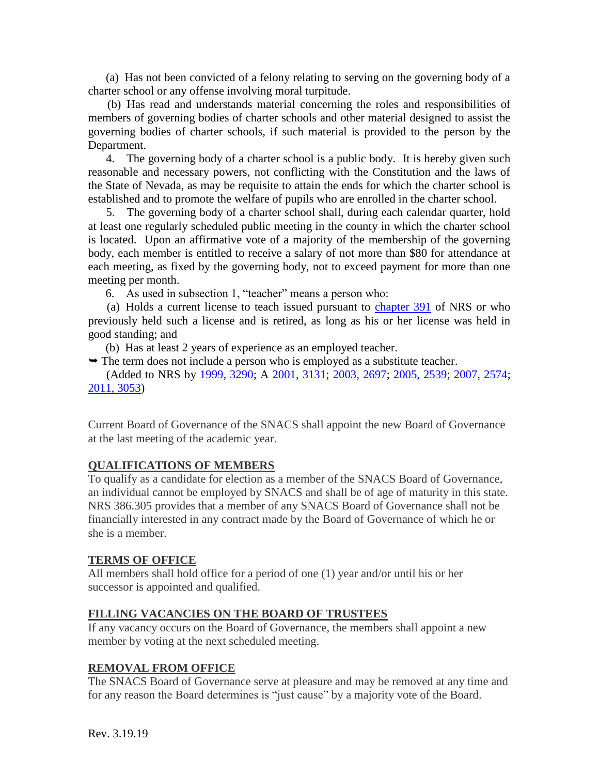(a) Has not been convicted of a felony relating to serving on the governing body of a charter school or any offense involving moral turpitude.

 (b) Has read and understands material concerning the roles and responsibilities of members of governing bodies of charter schools and other material designed to assist the governing bodies of charter schools, if such material is provided to the person by the Department.

 4. The governing body of a charter school is a public body. It is hereby given such reasonable and necessary powers, not conflicting with the Constitution and the laws of the State of Nevada, as may be requisite to attain the ends for which the charter school is established and to promote the welfare of pupils who are enrolled in the charter school.

 5. The governing body of a charter school shall, during each calendar quarter, hold at least one regularly scheduled public meeting in the county in which the charter school is located. Upon an affirmative vote of a majority of the membership of the governing body, each member is entitled to receive a salary of not more than \$80 for attendance at each meeting, as fixed by the governing body, not to exceed payment for more than one meeting per month.

6. As used in subsection 1, "teacher" means a person who:

 (a) Holds a current license to teach issued pursuant to [chapter 391](http://www.leg.state.nv.us/NRS/NRS-391.html#NRS391) of NRS or who previously held such a license and is retired, as long as his or her license was held in good standing; and

(b) Has at least 2 years of experience as an employed teacher.

 $\rightarrow$  The term does not include a person who is employed as a substitute teacher.

 (Added to NRS by [1999, 3290;](http://www.leg.state.nv.us/Statutes/70th/Stats199921.html#Stats199921page3290) A [2001, 3131;](http://www.leg.state.nv.us/Statutes/71st/Stats200121.html#Stats200121page3131) [2003, 2697;](http://www.leg.state.nv.us/Statutes/72nd/Stats200322.html#Stats200322page2697) [2005, 2539;](http://www.leg.state.nv.us/Statutes/73rd/Stats200525.html#Stats200525page2539) [2007, 2574;](http://www.leg.state.nv.us/Statutes/74th/Stats200721.html#Stats200721page2574) [2011, 3053\)](http://www.leg.state.nv.us/Statutes/76th2011/Stats201125.html#Stats201125page3053)

Current Board of Governance of the SNACS shall appoint the new Board of Governance at the last meeting of the academic year.

### **QUALIFICATIONS OF MEMBERS**

To qualify as a candidate for election as a member of the SNACS Board of Governance, an individual cannot be employed by SNACS and shall be of age of maturity in this state. NRS 386.305 provides that a member of any SNACS Board of Governance shall not be financially interested in any contract made by the Board of Governance of which he or she is a member.

### **TERMS OF OFFICE**

All members shall hold office for a period of one (1) year and/or until his or her successor is appointed and qualified.

### **FILLING VACANCIES ON THE BOARD OF TRUSTEES**

If any vacancy occurs on the Board of Governance, the members shall appoint a new member by voting at the next scheduled meeting.

### **REMOVAL FROM OFFICE**

The SNACS Board of Governance serve at pleasure and may be removed at any time and for any reason the Board determines is "just cause" by a majority vote of the Board.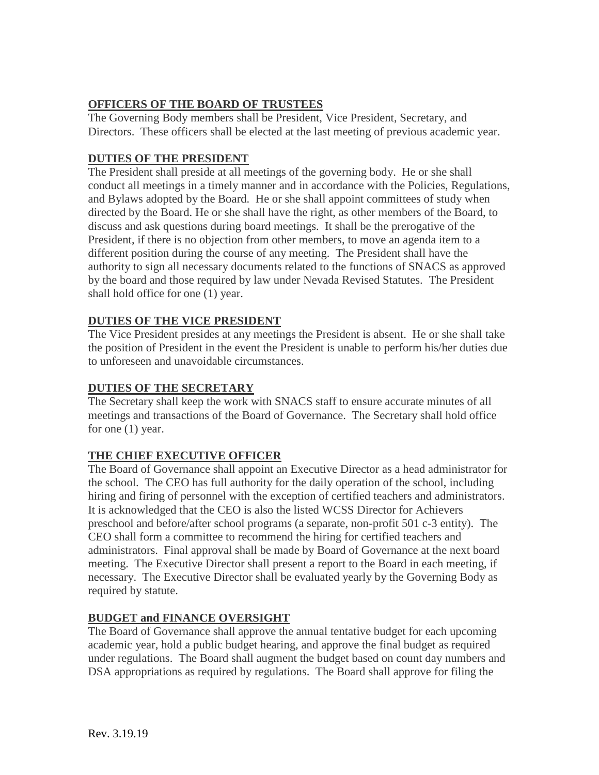## **OFFICERS OF THE BOARD OF TRUSTEES**

The Governing Body members shall be President, Vice President, Secretary, and Directors. These officers shall be elected at the last meeting of previous academic year.

### **DUTIES OF THE PRESIDENT**

The President shall preside at all meetings of the governing body. He or she shall conduct all meetings in a timely manner and in accordance with the Policies, Regulations, and Bylaws adopted by the Board. He or she shall appoint committees of study when directed by the Board. He or she shall have the right, as other members of the Board, to discuss and ask questions during board meetings. It shall be the prerogative of the President, if there is no objection from other members, to move an agenda item to a different position during the course of any meeting. The President shall have the authority to sign all necessary documents related to the functions of SNACS as approved by the board and those required by law under Nevada Revised Statutes. The President shall hold office for one (1) year.

### **DUTIES OF THE VICE PRESIDENT**

The Vice President presides at any meetings the President is absent. He or she shall take the position of President in the event the President is unable to perform his/her duties due to unforeseen and unavoidable circumstances.

### **DUTIES OF THE SECRETARY**

The Secretary shall keep the work with SNACS staff to ensure accurate minutes of all meetings and transactions of the Board of Governance. The Secretary shall hold office for one (1) year.

# **THE CHIEF EXECUTIVE OFFICER**

The Board of Governance shall appoint an Executive Director as a head administrator for the school. The CEO has full authority for the daily operation of the school, including hiring and firing of personnel with the exception of certified teachers and administrators. It is acknowledged that the CEO is also the listed WCSS Director for Achievers preschool and before/after school programs (a separate, non-profit 501 c-3 entity). The CEO shall form a committee to recommend the hiring for certified teachers and administrators. Final approval shall be made by Board of Governance at the next board meeting. The Executive Director shall present a report to the Board in each meeting, if necessary. The Executive Director shall be evaluated yearly by the Governing Body as required by statute.

### **BUDGET and FINANCE OVERSIGHT**

The Board of Governance shall approve the annual tentative budget for each upcoming academic year, hold a public budget hearing, and approve the final budget as required under regulations. The Board shall augment the budget based on count day numbers and DSA appropriations as required by regulations. The Board shall approve for filing the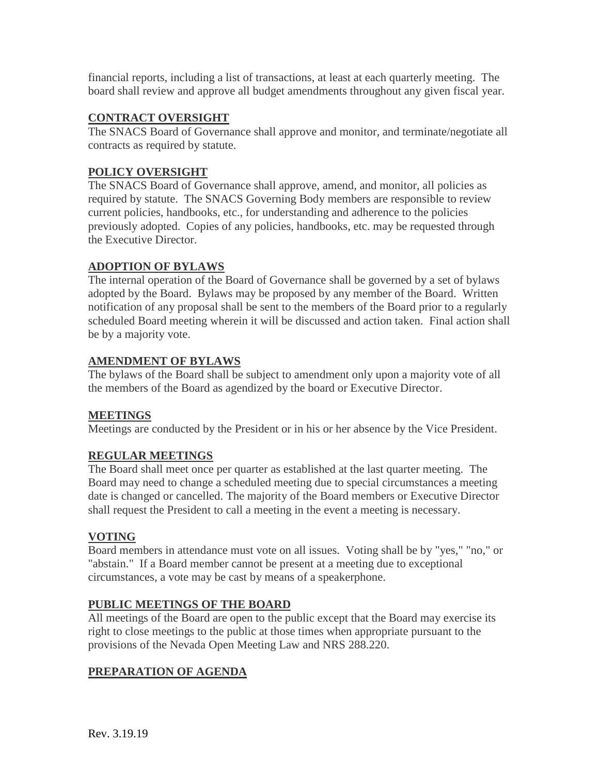financial reports, including a list of transactions, at least at each quarterly meeting. The board shall review and approve all budget amendments throughout any given fiscal year.

#### **CONTRACT OVERSIGHT**

The SNACS Board of Governance shall approve and monitor, and terminate/negotiate all contracts as required by statute.

## **POLICY OVERSIGHT**

The SNACS Board of Governance shall approve, amend, and monitor, all policies as required by statute. The SNACS Governing Body members are responsible to review current policies, handbooks, etc., for understanding and adherence to the policies previously adopted. Copies of any policies, handbooks, etc. may be requested through the Executive Director.

### **ADOPTION OF BYLAWS**

The internal operation of the Board of Governance shall be governed by a set of bylaws adopted by the Board. Bylaws may be proposed by any member of the Board. Written notification of any proposal shall be sent to the members of the Board prior to a regularly scheduled Board meeting wherein it will be discussed and action taken. Final action shall be by a majority vote.

#### **AMENDMENT OF BYLAWS**

The bylaws of the Board shall be subject to amendment only upon a majority vote of all the members of the Board as agendized by the board or Executive Director.

#### **MEETINGS**

Meetings are conducted by the President or in his or her absence by the Vice President.

### **REGULAR MEETINGS**

The Board shall meet once per quarter as established at the last quarter meeting. The Board may need to change a scheduled meeting due to special circumstances a meeting date is changed or cancelled. The majority of the Board members or Executive Director shall request the President to call a meeting in the event a meeting is necessary.

#### **VOTING**

Board members in attendance must vote on all issues. Voting shall be by "yes," "no," or "abstain." If a Board member cannot be present at a meeting due to exceptional circumstances, a vote may be cast by means of a speakerphone.

#### **PUBLIC MEETINGS OF THE BOARD**

All meetings of the Board are open to the public except that the Board may exercise its right to close meetings to the public at those times when appropriate pursuant to the provisions of the Nevada Open Meeting Law and NRS 288.220.

### **PREPARATION OF AGENDA**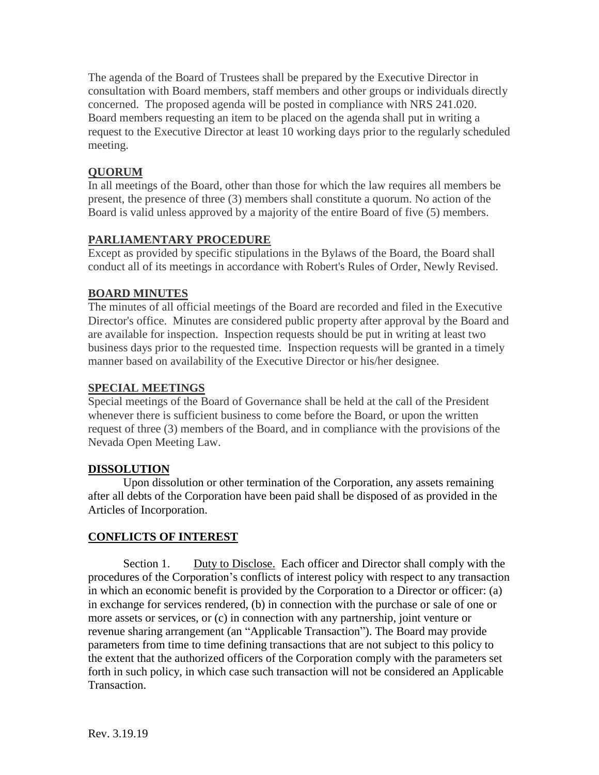The agenda of the Board of Trustees shall be prepared by the Executive Director in consultation with Board members, staff members and other groups or individuals directly concerned. The proposed agenda will be posted in compliance with NRS 241.020. Board members requesting an item to be placed on the agenda shall put in writing a request to the Executive Director at least 10 working days prior to the regularly scheduled meeting.

## **QUORUM**

In all meetings of the Board, other than those for which the law requires all members be present, the presence of three (3) members shall constitute a quorum. No action of the Board is valid unless approved by a majority of the entire Board of five (5) members.

## **PARLIAMENTARY PROCEDURE**

Except as provided by specific stipulations in the Bylaws of the Board, the Board shall conduct all of its meetings in accordance with Robert's Rules of Order, Newly Revised.

# **BOARD MINUTES**

The minutes of all official meetings of the Board are recorded and filed in the Executive Director's office. Minutes are considered public property after approval by the Board and are available for inspection. Inspection requests should be put in writing at least two business days prior to the requested time. Inspection requests will be granted in a timely manner based on availability of the Executive Director or his/her designee.

### **SPECIAL MEETINGS**

Special meetings of the Board of Governance shall be held at the call of the President whenever there is sufficient business to come before the Board, or upon the written request of three (3) members of the Board, and in compliance with the provisions of the Nevada Open Meeting Law.

### **DISSOLUTION**

Upon dissolution or other termination of the Corporation, any assets remaining after all debts of the Corporation have been paid shall be disposed of as provided in the Articles of Incorporation.

### **CONFLICTS OF INTEREST**

Section 1. Duty to Disclose. Each officer and Director shall comply with the procedures of the Corporation's conflicts of interest policy with respect to any transaction in which an economic benefit is provided by the Corporation to a Director or officer: (a) in exchange for services rendered, (b) in connection with the purchase or sale of one or more assets or services, or (c) in connection with any partnership, joint venture or revenue sharing arrangement (an "Applicable Transaction"). The Board may provide parameters from time to time defining transactions that are not subject to this policy to the extent that the authorized officers of the Corporation comply with the parameters set forth in such policy, in which case such transaction will not be considered an Applicable Transaction.